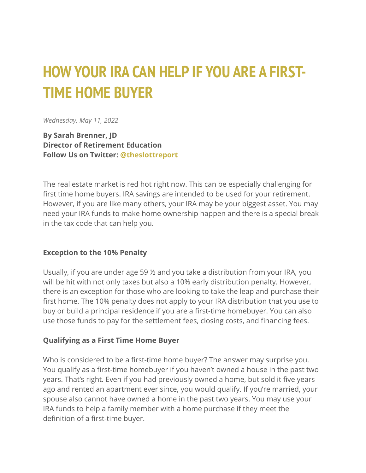# **HOW YOUR IRA CAN HELP IF YOU ARE A FIRST-TIME HOME BUYER**

*Wednesday, May 11, 2022*

**By Sarah Brenner, JD Director of Retirement Education Follow Us on Twitter: [@theslottreport](https://twitter.com/theslottreport)**

The real estate market is red hot right now. This can be especially challenging for first time home buyers. IRA savings are intended to be used for your retirement. However, if you are like many others, your IRA may be your biggest asset. You may need your IRA funds to make home ownership happen and there is a special break in the tax code that can help you.

### **Exception to the 10% Penalty**

Usually, if you are under age 59 ½ and you take a distribution from your IRA, you will be hit with not only taxes but also a 10% early distribution penalty. However, there is an exception for those who are looking to take the leap and purchase their first home. The 10% penalty does not apply to your IRA distribution that you use to buy or build a principal residence if you are a first-time homebuyer. You can also use those funds to pay for the settlement fees, closing costs, and financing fees.

### **Qualifying as a First Time Home Buyer**

Who is considered to be a first-time home buyer? The answer may surprise you. You qualify as a first-time homebuyer if you haven't owned a house in the past two years. That's right. Even if you had previously owned a home, but sold it five years ago and rented an apartment ever since, you would qualify. If you're married, your spouse also cannot have owned a home in the past two years. You may use your IRA funds to help a family member with a home purchase if they meet the definition of a first-time buyer.